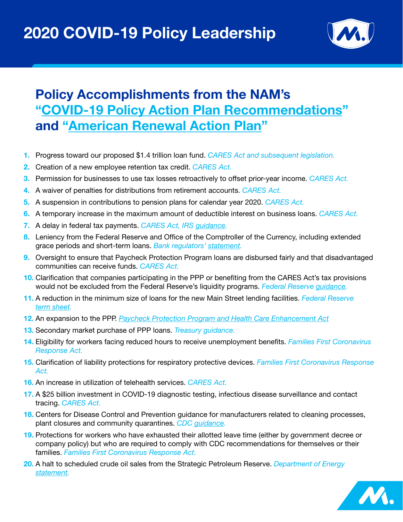

## **Policy Accomplishments from the NAM's ["COVID-19 Policy Action Plan Recommendations](https://www.nam.org/wp-content/uploads/2020/03/COVID-19-Policy-Action-Plan-Recommendations.pdf?_zs=abUBg1&_zl=UtBb6)" and ["American Renewal Action Plan](https://www.nam.org/wp-content/uploads/2020/04/v9-NAM-American-Renewal-Action-Plan.pdf?_zs=whbbf1&_zl=LiNh6)"**

- **1.** Progress toward our proposed \$1.4 trillion loan fund. *CARES Act and subsequent legislation.*
- **2.** Creation of a new employee retention tax credit. *CARES Act.*
- **3.** Permission for businesses to use tax losses retroactively to offset prior-year income. *CARES Act.*
- **4.** A waiver of penalties for distributions from retirement accounts. *CARES Act.*
- **5.** A suspension in contributions to pension plans for calendar year 2020. *CARES Act.*
- **6.** A temporary increase in the maximum amount of deductible interest on business loans. *CARES Act.*
- **7.** A delay in federal tax payments. *CARES Act, IRS [guidance](https://www.irs.gov/newsroom/tax-day-now-july-15-treasury-irs-extend-filing-deadline-and-federal-tax-payments-regardless-of-amount-owed).*
- **8.** Leniency from the Federal Reserve and Office of the Comptroller of the Currency, including extended grace periods and short-term loans. *Bank regulators' [statement.](https://www.federalreserve.gov/newsevents/pressreleases/bcreg20200317a.htm)*
- **9.** Oversight to ensure that Paycheck Protection Program loans are disbursed fairly and that disadvantaged communities can receive funds. *CARES Act.*
- **10.** Clarification that companies participating in the PPP or benefiting from the CARES Act's tax provisions would not be excluded from the Federal Reserve's liquidity programs. *Federal Reserve [guidance](https://www.newyorkfed.org/markets/primary-and-secondary-market-faq/corporate-credit-facility-faq).*
- **11.** A reduction in the minimum size of loans for the new Main Street lending facilities. *Federal Reserve [term sheet](https://www.federalreserve.gov/newsevents/pressreleases/files/monetary20200430a1.pdf).*
- **12.** An expansion to the PPP. *[Paycheck Protection Program and Health Care Enhancement Act](https://www.congress.gov/bill/116th-congress/house-bill/266)*
- **13.** Secondary market purchase of PPP loans. *Treasury guidance.*
- **14.** Eligibility for workers facing reduced hours to receive unemployment benefits. *Families First Coronavirus Response Act.*
- **15.** Clarification of liability protections for respiratory protective devices. *Families First Coronavirus Response Act.*
- **16.** An increase in utilization of telehealth services. *CARES Act.*
- **17.** A \$25 billion investment in COVID-19 diagnostic testing, infectious disease surveillance and contact tracing. *CARES Act.*
- **18.** Centers for Disease Control and Prevention guidance for manufacturers related to cleaning processes, plant closures and community quarantines. *CDC [guidance.](https://www.cdc.gov/coronavirus/2019-ncov/community/reopen-guidance.html)*
- **19.** Protections for workers who have exhausted their allotted leave time (either by government decree or company policy) but who are required to comply with CDC recommendations for themselves or their families. *Families First Coronavirus Response Act.*
- **20.** A halt to scheduled crude oil sales from the Strategic Petroleum Reserve. *Department of Energy [statement.](https://www.energy.gov/articles/doe-statement-upcoming-spr-crude-oil-sale)*

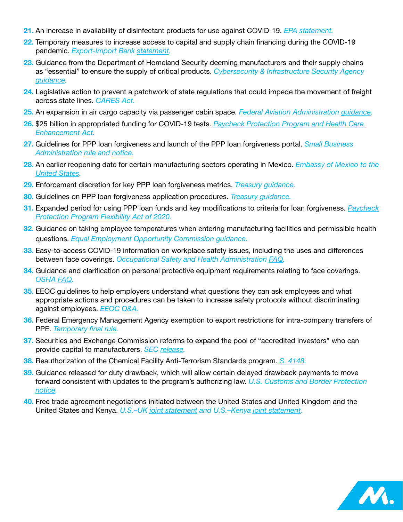- **21.** An increase in availability of disinfectant products for use against COVID-19. *EPA [statement.](https://www.epa.gov/newsreleases/epa-continues-efforts-increase-availability-disinfectant-products-use-against-novel)*
- **22.** Temporary measures to increase access to capital and supply chain financing during the COVID-19 pandemic. *Export-Import Bank [statement.](https://www.exim.gov/news/exim-increases-exporter-access-capital-and-supply-chain-financing-during-covid-19-raising)*
- **23.** Guidance from the Department of Homeland Security deeming manufacturers and their supply chains as "essential" to ensure the supply of critical products. *[Cybersecurity & Infrastructure Security Agency](https://www.cisa.gov/sites/default/files/publications/Version_3.0_CISA_Guidance_on_Essential_Critical_Infrastructure_Workers_1.pdf)  [guidance](https://www.cisa.gov/sites/default/files/publications/Version_3.0_CISA_Guidance_on_Essential_Critical_Infrastructure_Workers_1.pdf).*
- **24.** Legislative action to prevent a patchwork of state regulations that could impede the movement of freight across state lines. *CARES Act.*
- **25.** An expansion in air cargo capacity via passenger cabin space. *Federal Aviation Administration [guidance.](https://www.faa.gov/other_visit/aviation_industry/airline_operators/airline_safety/safo/all_safos/media/2020/SAFO20008.pdf)*
- **26.** \$25 billion in appropriated funding for COVID-19 tests. *[Paycheck Protection Program and Health Care](https://www.congress.gov/bill/116th-congress/house-bill/266/)  [Enhancement Act](https://www.congress.gov/bill/116th-congress/house-bill/266/).*
- **27.** Guidelines for PPP loan forgiveness and launch of the PPP loan forgiveness portal. *Small Business Administration [rule](https://www.govinfo.gov/content/pkg/FR-2020-06-01/pdf/2020-11536.pdf) and [notice](https://www.sba.gov/sites/default/files/2020-07/5000-20038-508.pdf).*
- **28.** An earlier reopening date for certain manufacturing sectors operating in Mexico. *[Embassy of Mexico to the](http://documents.nam.org/IEA/MexicoNewNormalityStrategy_rev.pdf)  [United States](http://documents.nam.org/IEA/MexicoNewNormalityStrategy_rev.pdf).*
- **29.** Enforcement discretion for key PPP loan forgiveness metrics. *Treasury guidance.*
- **30.** Guidelines on PPP loan forgiveness application procedures. *Treasury guidance.*
- **31.** Expanded period for using PPP loan funds and key modifications to criteria for loan forgiveness. *[Paycheck](https://www.congress.gov/bill/116th-congress/house-bill/7010/text)  [Protection Program Flexibility Act of 2020.](https://www.congress.gov/bill/116th-congress/house-bill/7010/text)*
- **32.** Guidance on taking employee temperatures when entering manufacturing facilities and permissible health questions. *Equal Employment Opportunity Commission [guidance](https://www.eeoc.gov/laws/guidance/pandemic-preparedness-workplace-and-americans-disabilities-act).*
- **33.** Easy-to-access COVID-19 information on workplace safety issues, including the uses and differences between face coverings. *Occupational Safety and Health Administration [FAQ](https://www.osha.gov/SLTC/covid-19/covid-19-faq.html).*
- **34.** Guidance and clarification on personal protective equipment requirements relating to face coverings. *OSHA [FAQ](https://www.osha.gov/SLTC/covid-19/covid-19-faq.html).*
- **35.** EEOC guidelines to help employers understand what questions they can ask employees and what appropriate actions and procedures can be taken to increase safety protocols without discriminating against employees. *[EEOC](https://www.eeoc.gov/wysk/what-you-should-know-about-covid-19-and-ada-rehabilitation-act-and-other-eeo-laws) Q&A.*
- **36.** Federal Emergency Management Agency exemption to export restrictions for intra-company transfers of PPE. *[Temporary final rule](https://www.federalregister.gov/documents/2020/04/21/2020-08542/prioritization-and-allocation-of-certain-scarce-or-threatened-health-and-medical-resources-for).*
- **37.** Securities and Exchange Commission reforms to expand the pool of "accredited investors" who can provide capital to manufacturers. *SEC [release.](https://www.sec.gov/news/press-release/2020-191)*
- **38.** Reauthorization of the Chemical Facility Anti-Terrorism Standards program. *[S. 4148.](https://www.congress.gov/bill/116th-congress/senate-bill/4148)*
- **39.** Guidance released for duty drawback, which will allow certain delayed drawback payments to move forward consistent with updates to the program's authorizing law. *U.S. Customs and Border Protection [notice](https://content.govdelivery.com/bulletins/gd/USDHSCBP-2896f99?wgt_ref=USDHSCBP_WIDGET_2?utm_source=csms.cbp.gov&utm_medium=csms.cbp.gov&utm_term=undefined&utm_content=undefined&utm_campaign=(not set)&gclid=undefined&dclid=undefined&GAID=643919526.1574098262).*
- **40.** Free trade agreement negotiations initiated between the United States and United Kingdom and the United States and Kenya. *U.S.–UK [joint statement](https://ustr.gov/about-us/policy-offices/press-office/press-releases/2020/may/joint-statement-ustr-robert-lighthizer-and-uk-secretary-state-international-trade-elizabeth-truss) and U.S.–Kenya [joint statement](https://ustr.gov/about-us/policy-offices/press-office/press-releases/2020/july/joint-statement-between-united-states-and-kenya-launch-negotiations-towards-free-trade-agreement).*